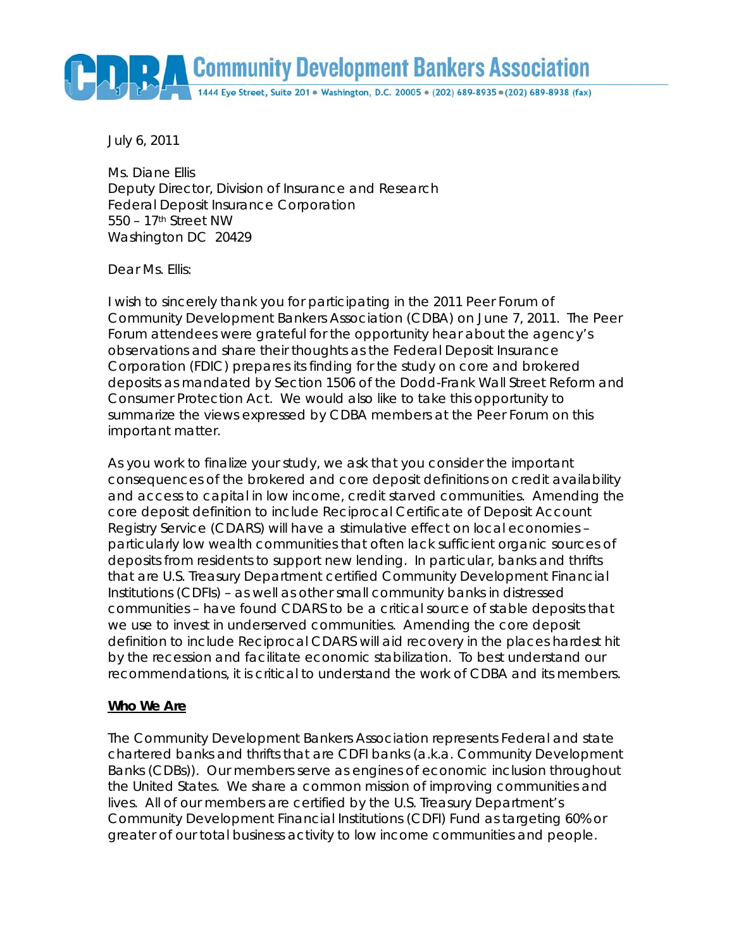

July 6, 2011

Ms. Diane Ellis Deputy Director, Division of Insurance and Research Federal Deposit Insurance Corporation 550 – 17th Street NW Washington DC 20429

Dear Ms. Ellis:

I wish to sincerely thank you for participating in the 2011 Peer Forum of Community Development Bankers Association (CDBA) on June 7, 2011. The Peer Forum attendees were grateful for the opportunity hear about the agency's observations and share their thoughts as the Federal Deposit Insurance Corporation (FDIC) prepares its finding for the study on core and brokered deposits as mandated by Section 1506 of the Dodd-Frank Wall Street Reform and Consumer Protection Act. We would also like to take this opportunity to summarize the views expressed by CDBA members at the Peer Forum on this important matter.

As you work to finalize your study, we ask that you consider the important consequences of the brokered and core deposit definitions on credit availability and access to capital in low income, credit starved communities. Amending the core deposit definition to include Reciprocal Certificate of Deposit Account Registry Service (CDARS) will have a stimulative effect on local economies – particularly low wealth communities that often lack sufficient organic sources of deposits from residents to support new lending. In particular, banks and thrifts that are U.S. Treasury Department certified Community Development Financial Institutions (CDFIs) – as well as other small community banks in distressed communities – have found CDARS to be a critical source of stable deposits that we use to invest in underserved communities. Amending the core deposit definition to include Reciprocal CDARS will aid recovery in the places hardest hit by the recession and facilitate economic stabilization. To best understand our recommendations, it is critical to understand the work of CDBA and its members.

## **Who We Are**

The Community Development Bankers Association represents Federal and state chartered banks and thrifts that are CDFI banks (a.k.a. Community Development Banks (CDBs)). Our members serve as engines of economic inclusion throughout the United States. We share a common mission of improving communities and lives. All of our members are certified by the U.S. Treasury Department's Community Development Financial Institutions (CDFI) Fund as targeting 60% or greater of our total business activity to low income communities and people.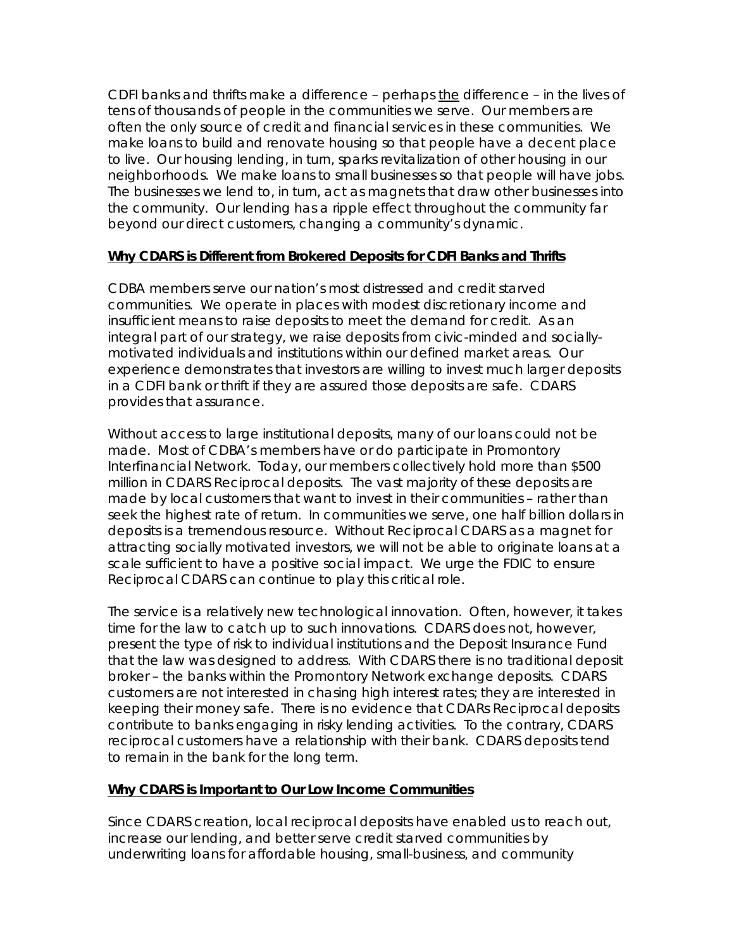CDFI banks and thrifts make a difference - perhaps the difference - in the lives of tens of thousands of people in the communities we serve. Our members are often the only source of credit and financial services in these communities. We make loans to build and renovate housing so that people have a decent place to live. Our housing lending, in turn, sparks revitalization of other housing in our neighborhoods. We make loans to small businesses so that people will have jobs. The businesses we lend to, in turn, act as magnets that draw other businesses into the community. Our lending has a ripple effect throughout the community far beyond our direct customers, changing a community's dynamic.

## **Why CDARS is Different from Brokered Deposits for CDFI Banks and Thrifts**

CDBA members serve our nation's most distressed and credit starved communities. We operate in places with modest discretionary income and insufficient means to raise deposits to meet the demand for credit. As an integral part of our strategy, we raise deposits from civic-minded and sociallymotivated individuals and institutions within our defined market areas. Our experience demonstrates that investors are willing to invest much larger deposits in a CDFI bank or thrift if they are assured those deposits are safe. CDARS provides that assurance.

Without access to large institutional deposits, many of our loans could not be made. Most of CDBA's members have or do participate in Promontory Interfinancial Network. Today, our members collectively hold more than \$500 million in CDARS Reciprocal deposits. The vast majority of these deposits are made by local customers that want to invest in their communities – rather than seek the highest rate of return. In communities we serve, one half billion dollars in deposits is a tremendous resource. Without Reciprocal CDARS as a magnet for attracting socially motivated investors, we will not be able to originate loans at a scale sufficient to have a positive social impact. We urge the FDIC to ensure Reciprocal CDARS can continue to play this critical role.

The service is a relatively new technological innovation. Often, however, it takes time for the law to catch up to such innovations. CDARS does not, however, present the type of risk to individual institutions and the Deposit Insurance Fund that the law was designed to address. With CDARS there is no traditional deposit broker – the banks within the Promontory Network exchange deposits. CDARS customers are not interested in chasing high interest rates; they are interested in keeping their money safe. There is no evidence that CDARs Reciprocal deposits contribute to banks engaging in risky lending activities. To the contrary, CDARS reciprocal customers have a relationship with their bank. CDARS deposits tend to remain in the bank for the long term.

## **Why CDARS is Important to Our Low Income Communities**

Since CDARS creation, local reciprocal deposits have enabled us to reach out, increase our lending, and better serve credit starved communities by underwriting loans for affordable housing, small-business, and community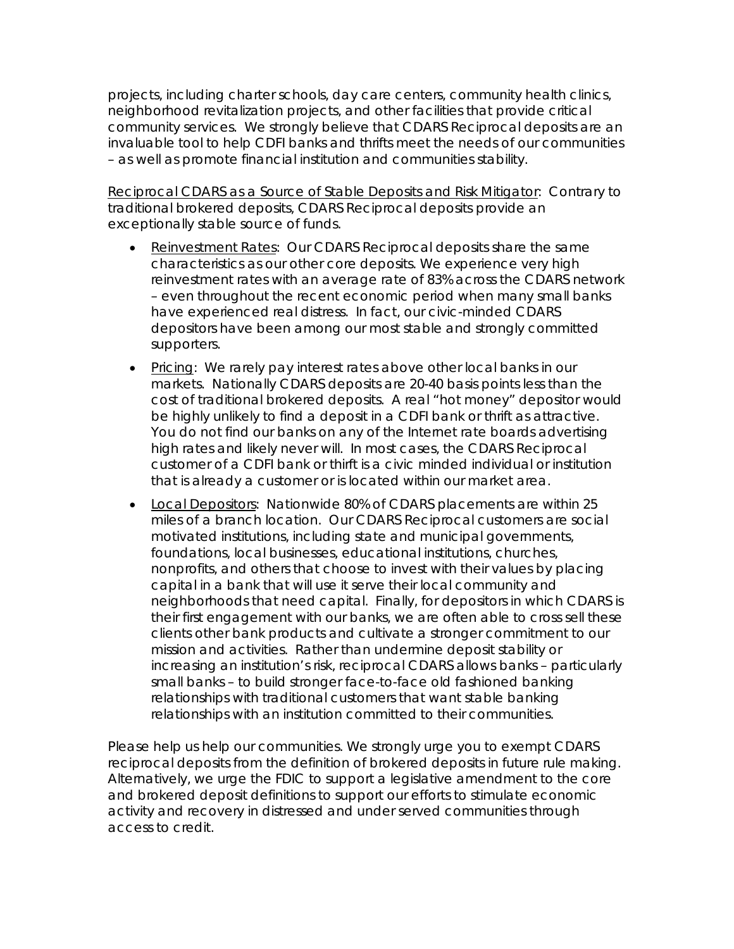projects, including charter schools, day care centers, community health clinics, neighborhood revitalization projects, and other facilities that provide critical community services. We strongly believe that CDARS Reciprocal deposits are an invaluable tool to help CDFI banks and thrifts meet the needs of our communities – as well as promote financial institution and communities stability.

Reciprocal CDARS as a Source of Stable Deposits and Risk Mitigator: Contrary to traditional brokered deposits, CDARS Reciprocal deposits provide an exceptionally stable source of funds.

- Reinvestment Rates: Our CDARS Reciprocal deposits share the same characteristics as our other core deposits. We experience very high reinvestment rates with an average rate of 83% across the CDARS network – even throughout the recent economic period when many small banks have experienced real distress. In fact, our civic-minded CDARS depositors have been among our most stable and strongly committed supporters.
- Pricing: We rarely pay interest rates above other local banks in our markets. Nationally CDARS deposits are 20-40 basis points less than the cost of traditional brokered deposits. A real "hot money" depositor would be highly unlikely to find a deposit in a CDFI bank or thrift as attractive. You do not find our banks on any of the Internet rate boards advertising high rates and likely never will. In most cases, the CDARS Reciprocal customer of a CDFI bank or thirft is a civic minded individual or institution that is already a customer or is located within our market area.
- Local Depositors: Nationwide 80% of CDARS placements are within 25 miles of a branch location. Our CDARS Reciprocal customers are social motivated institutions, including state and municipal governments, foundations, local businesses, educational institutions, churches, nonprofits, and others that choose to invest with their values by placing capital in a bank that will use it serve their local community and neighborhoods that need capital. Finally, for depositors in which CDARS is their first engagement with our banks, we are often able to cross sell these clients other bank products and cultivate a stronger commitment to our mission and activities. Rather than undermine deposit stability or increasing an institution's risk, reciprocal CDARS allows banks – particularly small banks – to build stronger face-to-face old fashioned banking relationships with traditional customers that want stable banking relationships with an institution committed to their communities.

Please help us help our communities. We strongly urge you to exempt CDARS reciprocal deposits from the definition of brokered deposits in future rule making. Alternatively, we urge the FDIC to support a legislative amendment to the core and brokered deposit definitions to support our efforts to stimulate economic activity and recovery in distressed and under served communities through access to credit.